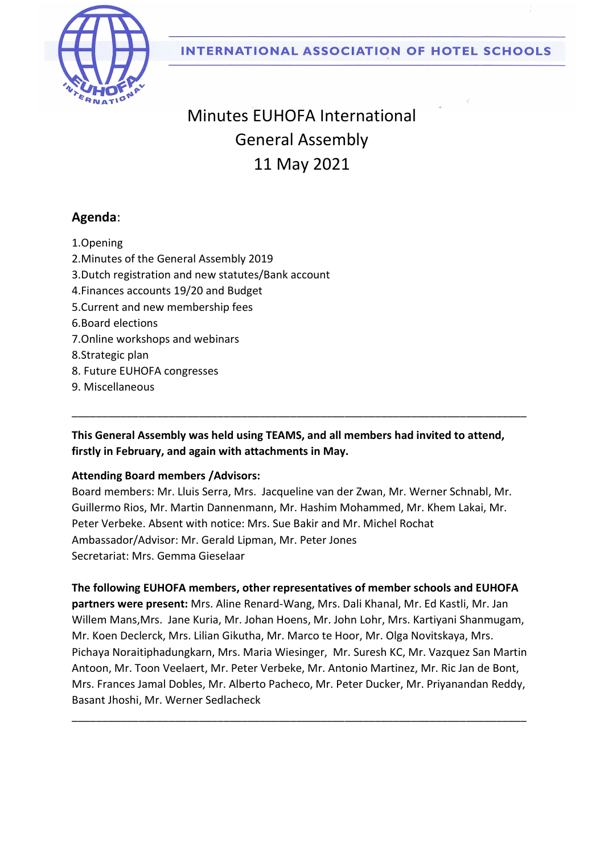



# Minutes EUHOFA International General Assembly 11 May 2021

## Agenda:

1.Opening

- 2.Minutes of the General Assembly 2019
- 3.Dutch registration and new statutes/Bank account
- 4.Finances accounts 19/20 and Budget
- 5.Current and new membership fees
- 6.Board elections
- 7.Online workshops and webinars
- 8.Strategic plan
- 8. Future EUHOFA congresses
- 9. Miscellaneous

This General Assembly was held using TEAMS, and all members had invited to attend, firstly in February, and again with attachments in May.

\_\_\_\_\_\_\_\_\_\_\_\_\_\_\_\_\_\_\_\_\_\_\_\_\_\_\_\_\_\_\_\_\_\_\_\_\_\_\_\_\_\_\_\_\_\_\_\_\_\_\_\_\_\_\_\_\_\_\_\_\_\_\_\_\_\_\_\_\_\_\_\_\_\_\_

#### Attending Board members /Advisors:

Board members: Mr. Lluis Serra, Mrs. Jacqueline van der Zwan, Mr. Werner Schnabl, Mr. Guillermo Rios, Mr. Martin Dannenmann, Mr. Hashim Mohammed, Mr. Khem Lakai, Mr. Peter Verbeke. Absent with notice: Mrs. Sue Bakir and Mr. Michel Rochat Ambassador/Advisor: Mr. Gerald Lipman, Mr. Peter Jones Secretariat: Mrs. Gemma Gieselaar

The following EUHOFA members, other representatives of member schools and EUHOFA partners were present: Mrs. Aline Renard-Wang, Mrs. Dali Khanal, Mr. Ed Kastli, Mr. Jan Willem Mans,Mrs. Jane Kuria, Mr. Johan Hoens, Mr. John Lohr, Mrs. Kartiyani Shanmugam, Mr. Koen Declerck, Mrs. Lilian Gikutha, Mr. Marco te Hoor, Mr. Olga Novitskaya, Mrs. Pichaya Noraitiphadungkarn, Mrs. Maria Wiesinger, Mr. Suresh KC, Mr. Vazquez San Martin Antoon, Mr. Toon Veelaert, Mr. Peter Verbeke, Mr. Antonio Martinez, Mr. Ric Jan de Bont,

Mrs. Frances Jamal Dobles, Mr. Alberto Pacheco, Mr. Peter Ducker, Mr. Priyanandan Reddy, Basant Jhoshi, Mr. Werner Sedlacheck

\_\_\_\_\_\_\_\_\_\_\_\_\_\_\_\_\_\_\_\_\_\_\_\_\_\_\_\_\_\_\_\_\_\_\_\_\_\_\_\_\_\_\_\_\_\_\_\_\_\_\_\_\_\_\_\_\_\_\_\_\_\_\_\_\_\_\_\_\_\_\_\_\_\_\_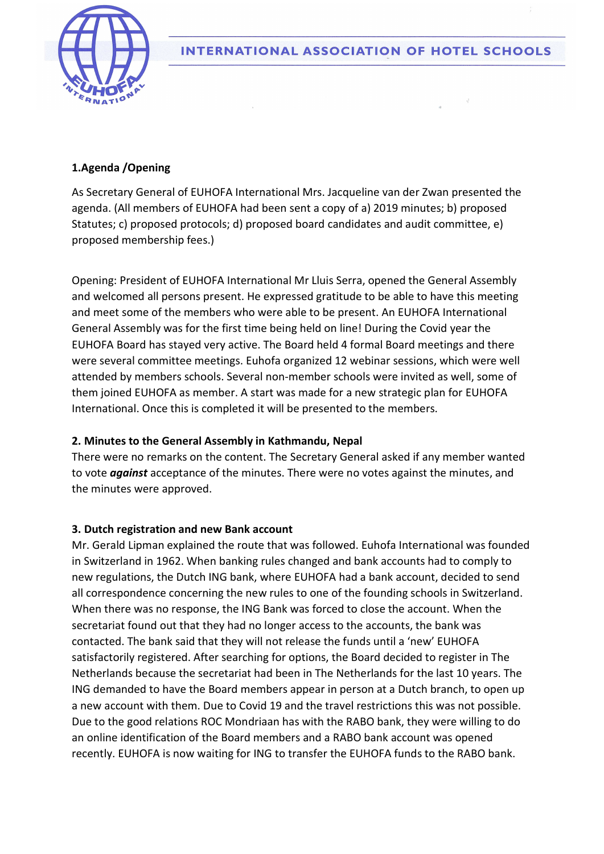

**INTERNATIONAL ASSOCIATION OF HOTEL SCHOOLS** 

### 1.Agenda /Opening

As Secretary General of EUHOFA International Mrs. Jacqueline van der Zwan presented the agenda. (All members of EUHOFA had been sent a copy of a) 2019 minutes; b) proposed Statutes; c) proposed protocols; d) proposed board candidates and audit committee, e) proposed membership fees.)

Opening: President of EUHOFA International Mr Lluis Serra, opened the General Assembly and welcomed all persons present. He expressed gratitude to be able to have this meeting and meet some of the members who were able to be present. An EUHOFA International General Assembly was for the first time being held on line! During the Covid year the EUHOFA Board has stayed very active. The Board held 4 formal Board meetings and there were several committee meetings. Euhofa organized 12 webinar sessions, which were well attended by members schools. Several non-member schools were invited as well, some of them joined EUHOFA as member. A start was made for a new strategic plan for EUHOFA International. Once this is completed it will be presented to the members.

#### 2. Minutes to the General Assembly in Kathmandu, Nepal

There were no remarks on the content. The Secretary General asked if any member wanted to vote *against* acceptance of the minutes. There were no votes against the minutes, and the minutes were approved.

#### 3. Dutch registration and new Bank account

Mr. Gerald Lipman explained the route that was followed. Euhofa International was founded in Switzerland in 1962. When banking rules changed and bank accounts had to comply to new regulations, the Dutch ING bank, where EUHOFA had a bank account, decided to send all correspondence concerning the new rules to one of the founding schools in Switzerland. When there was no response, the ING Bank was forced to close the account. When the secretariat found out that they had no longer access to the accounts, the bank was contacted. The bank said that they will not release the funds until a 'new' EUHOFA satisfactorily registered. After searching for options, the Board decided to register in The Netherlands because the secretariat had been in The Netherlands for the last 10 years. The ING demanded to have the Board members appear in person at a Dutch branch, to open up a new account with them. Due to Covid 19 and the travel restrictions this was not possible. Due to the good relations ROC Mondriaan has with the RABO bank, they were willing to do an online identification of the Board members and a RABO bank account was opened recently. EUHOFA is now waiting for ING to transfer the EUHOFA funds to the RABO bank.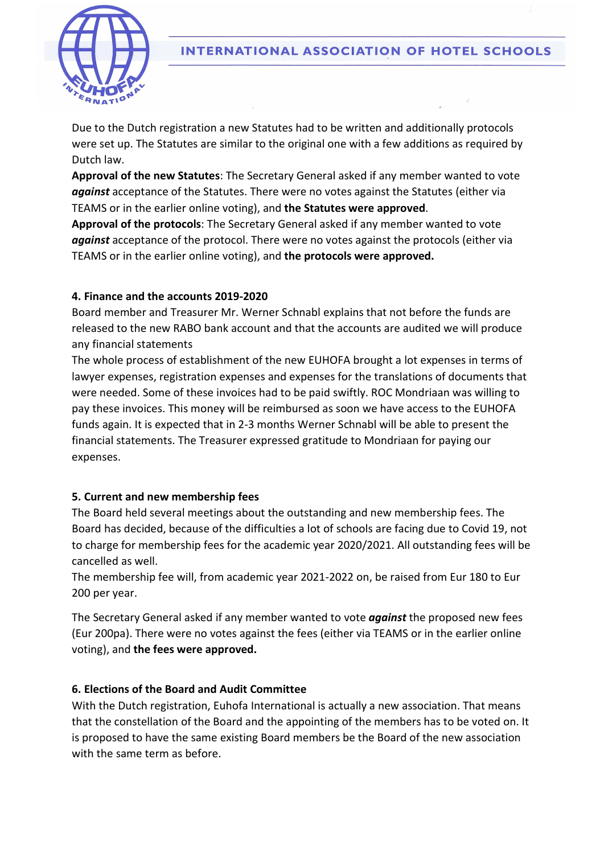

Due to the Dutch registration a new Statutes had to be written and additionally protocols were set up. The Statutes are similar to the original one with a few additions as required by Dutch law.

Approval of the new Statutes: The Secretary General asked if any member wanted to vote against acceptance of the Statutes. There were no votes against the Statutes (either via TEAMS or in the earlier online voting), and the Statutes were approved.

Approval of the protocols: The Secretary General asked if any member wanted to vote against acceptance of the protocol. There were no votes against the protocols (either via TEAMS or in the earlier online voting), and the protocols were approved.

#### 4. Finance and the accounts 2019-2020

Board member and Treasurer Mr. Werner Schnabl explains that not before the funds are released to the new RABO bank account and that the accounts are audited we will produce any financial statements

The whole process of establishment of the new EUHOFA brought a lot expenses in terms of lawyer expenses, registration expenses and expenses for the translations of documents that were needed. Some of these invoices had to be paid swiftly. ROC Mondriaan was willing to pay these invoices. This money will be reimbursed as soon we have access to the EUHOFA funds again. It is expected that in 2-3 months Werner Schnabl will be able to present the financial statements. The Treasurer expressed gratitude to Mondriaan for paying our expenses.

## 5. Current and new membership fees

The Board held several meetings about the outstanding and new membership fees. The Board has decided, because of the difficulties a lot of schools are facing due to Covid 19, not to charge for membership fees for the academic year 2020/2021. All outstanding fees will be cancelled as well.

The membership fee will, from academic year 2021-2022 on, be raised from Eur 180 to Eur 200 per year.

The Secretary General asked if any member wanted to vote **against** the proposed new fees (Eur 200pa). There were no votes against the fees (either via TEAMS or in the earlier online voting), and the fees were approved.

## 6. Elections of the Board and Audit Committee

With the Dutch registration, Euhofa International is actually a new association. That means that the constellation of the Board and the appointing of the members has to be voted on. It is proposed to have the same existing Board members be the Board of the new association with the same term as before.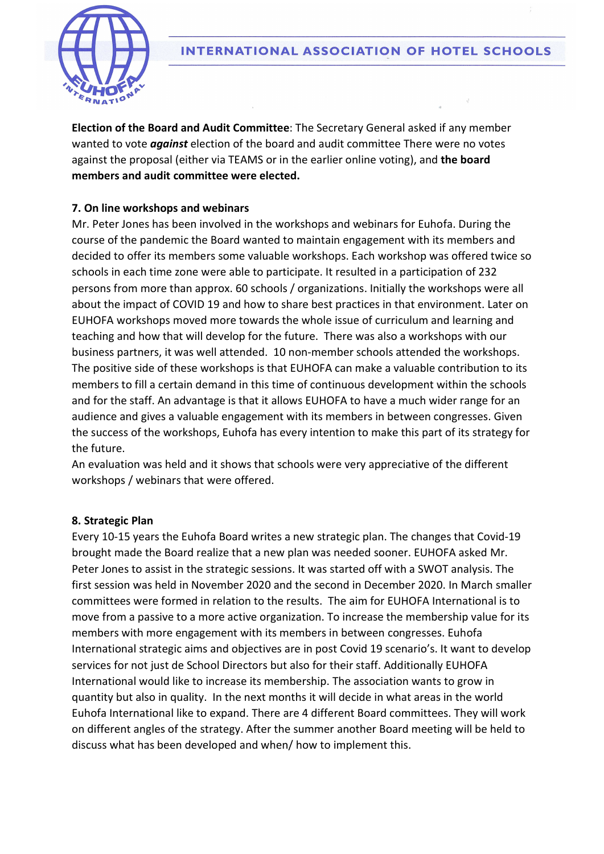

Election of the Board and Audit Committee: The Secretary General asked if any member wanted to vote *against* election of the board and audit committee There were no votes against the proposal (either via TEAMS or in the earlier online voting), and the board members and audit committee were elected.

#### 7. On line workshops and webinars

Mr. Peter Jones has been involved in the workshops and webinars for Euhofa. During the course of the pandemic the Board wanted to maintain engagement with its members and decided to offer its members some valuable workshops. Each workshop was offered twice so schools in each time zone were able to participate. It resulted in a participation of 232 persons from more than approx. 60 schools / organizations. Initially the workshops were all about the impact of COVID 19 and how to share best practices in that environment. Later on EUHOFA workshops moved more towards the whole issue of curriculum and learning and teaching and how that will develop for the future. There was also a workshops with our business partners, it was well attended. 10 non-member schools attended the workshops. The positive side of these workshops is that EUHOFA can make a valuable contribution to its members to fill a certain demand in this time of continuous development within the schools and for the staff. An advantage is that it allows EUHOFA to have a much wider range for an audience and gives a valuable engagement with its members in between congresses. Given the success of the workshops, Euhofa has every intention to make this part of its strategy for the future.

An evaluation was held and it shows that schools were very appreciative of the different workshops / webinars that were offered.

#### 8. Strategic Plan

Every 10-15 years the Euhofa Board writes a new strategic plan. The changes that Covid-19 brought made the Board realize that a new plan was needed sooner. EUHOFA asked Mr. Peter Jones to assist in the strategic sessions. It was started off with a SWOT analysis. The first session was held in November 2020 and the second in December 2020. In March smaller committees were formed in relation to the results. The aim for EUHOFA International is to move from a passive to a more active organization. To increase the membership value for its members with more engagement with its members in between congresses. Euhofa International strategic aims and objectives are in post Covid 19 scenario's. It want to develop services for not just de School Directors but also for their staff. Additionally EUHOFA International would like to increase its membership. The association wants to grow in quantity but also in quality. In the next months it will decide in what areas in the world Euhofa International like to expand. There are 4 different Board committees. They will work on different angles of the strategy. After the summer another Board meeting will be held to discuss what has been developed and when/ how to implement this.